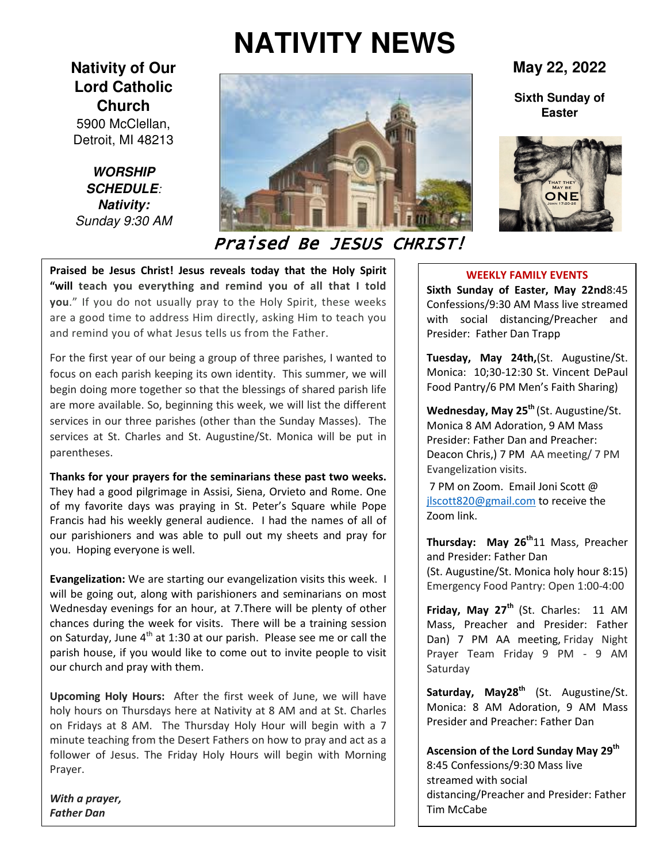# **NATIVITY NEWS**

## **Nativity of Our Lord Catholic Church**

5900 McClellan, Detroit, MI 48213

**WORSHIP SCHEDULE***:*  **Nativity:**  *Sunday 9:30 AM* 



# Praised Be JESUS CHRIST!

**Praised be Jesus Christ! Jesus reveals today that the Holy Spirit "will teach you everything and remind you of all that I told you**." If you do not usually pray to the Holy Spirit, these weeks are a good time to address Him directly, asking Him to teach you and remind you of what Jesus tells us from the Father.

For the first year of our being a group of three parishes, I wanted to focus on each parish keeping its own identity. This summer, we will begin doing more together so that the blessings of shared parish life are more available. So, beginning this week, we will list the different services in our three parishes (other than the Sunday Masses). The services at St. Charles and St. Augustine/St. Monica will be put in parentheses.

**Thanks for your prayers for the seminarians these past two weeks.**  They had a good pilgrimage in Assisi, Siena, Orvieto and Rome. One of my favorite days was praying in St. Peter's Square while Pope Francis had his weekly general audience. I had the names of all of our parishioners and was able to pull out my sheets and pray for you. Hoping everyone is well.

**Evangelization:** We are starting our evangelization visits this week. I will be going out, along with parishioners and seminarians on most Wednesday evenings for an hour, at 7.There will be plenty of other chances during the week for visits. There will be a training session on Saturday, June  $4<sup>th</sup>$  at 1:30 at our parish. Please see me or call the parish house, if you would like to come out to invite people to visit our church and pray with them.

**Upcoming Holy Hours:** After the first week of June, we will have holy hours on Thursdays here at Nativity at 8 AM and at St. Charles on Fridays at 8 AM. The Thursday Holy Hour will begin with a 7 minute teaching from the Desert Fathers on how to pray and act as a follower of Jesus. The Friday Holy Hours will begin with Morning Prayer.

*With a prayer, Father Dan*

**May 22, 2022**

**Sixth Sunday of Easter**



#### **WEEKLY FAMILY EVENTS**

**Sixth Sunday of Easter, May 22nd**8:45 Confessions/9:30 AM Mass live streamed with social distancing/Preacher and Presider: Father Dan Trapp

**Tuesday, May 24th,**(St. Augustine/St. Monica: 10;30-12:30 St. Vincent DePaul Food Pantry/6 PM Men's Faith Sharing)

**Wednesday, May 25th** (St. Augustine/St. Monica 8 AM Adoration, 9 AM Mass Presider: Father Dan and Preacher: Deacon Chris,) 7 PM AA meeting/ 7 PM Evangelization visits.

7 PM on Zoom. Email Joni Scott @ jlscott820@gmail.com to receive the Zoom link.

**Thursday: May 26th**11 Mass, Preacher and Presider: Father Dan (St. Augustine/St. Monica holy hour 8:15) Emergency Food Pantry: Open 1:00-4:00

**Friday, May 27th** (St. Charles: 11 AM Mass, Preacher and Presider: Father Dan) 7 PM AA meeting, Friday Night Prayer Team Friday 9 PM - 9 AM Saturday

**Saturday, May28th** (St. Augustine/St. Monica: 8 AM Adoration, 9 AM Mass Presider and Preacher: Father Dan

**Ascension of the Lord Sunday May 29th** 8:45 Confessions/9:30 Mass live streamed with social distancing/Preacher and Presider: Father Tim McCabe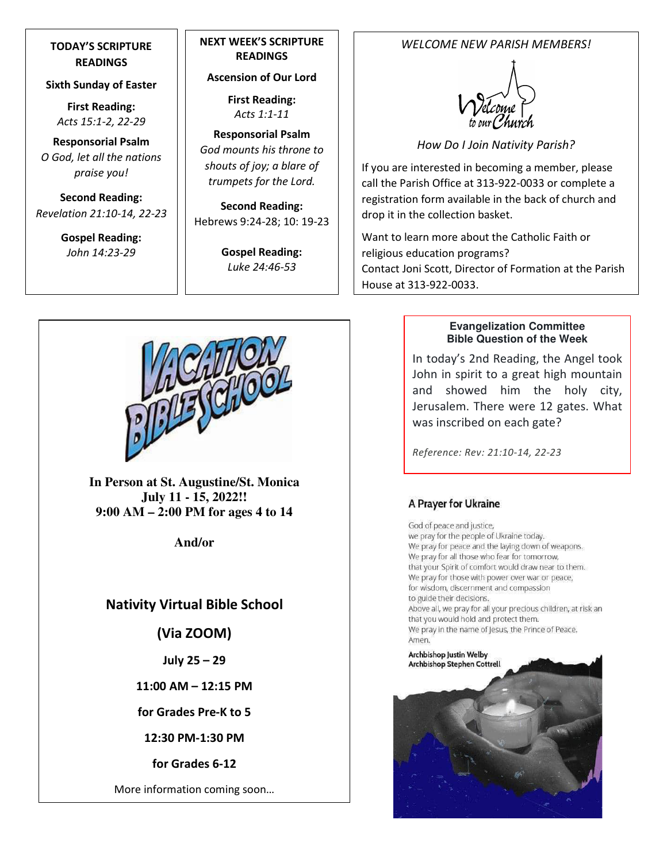## **TODAY'S SCRIPTURE READINGS**

#### **Sixth Sunday of Easter**

**First Reading:**  *Acts 15:1-2, 22-29* 

**Responsorial Psalm**  *O God, let all the nations praise you!* 

**Second Reading:**  *Revelation 21:10-14, 22-23* 

> **Gospel Reading:** *John 14:23-29*

## **NEXT WEEK'S SCRIPTURE READINGS**

**Ascension of Our Lord** 

**First Reading:**  *Acts 1:1-11* 

**Responsorial Psalm**  *God mounts his throne to shouts of joy; a blare of trumpets for the Lord.* 

**Second Reading:**  Hebrews 9:24-28; 10: 19-23

> **Gospel Reading:** *Luke 24:46-53*

## *WELCOME NEW PARISH MEMBERS!*



*How Do I Join Nativity Parish?* 

If you are interested in becoming a member, please call the Parish Office at 313-922-0033 or complete a registration form available in the back of church and drop it in the collection basket.

Want to learn more about the Catholic Faith or religious education programs? Contact Joni Scott, Director of Formation at the Parish House at 313-922-0033.



**In Person at St. Augustine/St. Monica July 11 - 15, 2022!! 9:00 AM – 2:00 PM for ages 4 to 14** 

**And/or** 

## **Nativity Virtual Bible School**

**(Via ZOOM)** 

**July 25 – 29** 

**11:00 AM – 12:15 PM** 

**for Grades Pre-K to 5** 

**12:30 PM-1:30 PM** 

**for Grades 6-12** 

More information coming soon…

#### **Evangelization Committee Bible Question of the Week**

In today's 2nd Reading, the Angel took John in spirit to a great high mountain and showed him the holy city, Jerusalem. There were 12 gates. What was inscribed on each gate?

*Reference: Rev: 21:10-14, 22-23*

## A Prayer for Ukraine

God of peace and justice, we pray for the people of Ukraine today. We pray for peace and the laying down of weapons. We pray for all those who fear for tomorrow, that your Spirit of comfort would draw near to them. We pray for those with power over war or peace, for wisdom, discernment and compassion to guide their decisions. Above all, we pray for all your precious children, at risk an that you would hold and protect them. We pray in the name of Jesus, the Prince of Peace. Amen.

Archbishop Justin Welby **Archbishop Stephen Cottrell** 

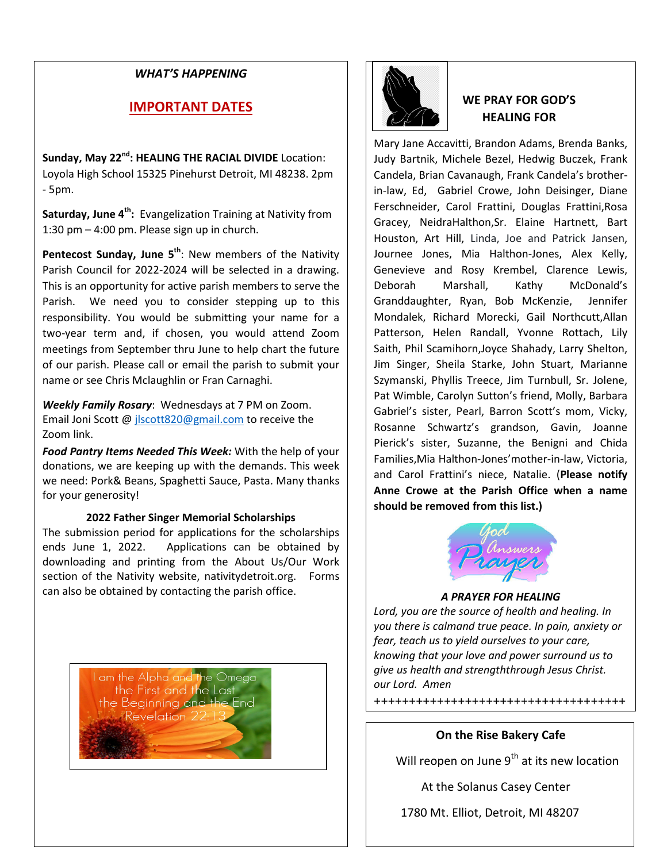### *WHAT'S HAPPENING*

## **IMPORTANT DATES**

**Sunday, May 22nd: HEALING THE RACIAL DIVIDE** Location: Loyola High School 15325 Pinehurst Detroit, MI 48238. 2pm - 5pm.

**Saturday, June 4th:** Evangelization Training at Nativity from 1:30 pm – 4:00 pm. Please sign up in church.

**Pentecost Sunday, June 5th**: New members of the Nativity Parish Council for 2022-2024 will be selected in a drawing. This is an opportunity for active parish members to serve the Parish. We need you to consider stepping up to this responsibility. You would be submitting your name for a two-year term and, if chosen, you would attend Zoom meetings from September thru June to help chart the future of our parish. Please call or email the parish to submit your name or see Chris Mclaughlin or Fran Carnaghi.

*Weekly Family Rosary*: Wednesdays at 7 PM on Zoom. Email Joni Scott @ jlscott820@gmail.com to receive the Zoom link.

*Food Pantry Items Needed This Week:* With the help of your donations, we are keeping up with the demands. This week we need: Pork& Beans, Spaghetti Sauce, Pasta. Many thanks for your generosity!

#### **2022 Father Singer Memorial Scholarships**

The submission period for applications for the scholarships ends June 1, 2022. Applications can be obtained by downloading and printing from the About Us/Our Work section of the Nativity website, nativitydetroit.org. Forms can also be obtained by contacting the parish office.

> I am the Alpha and the Omega<br>the First and the Last the Beginning and the End  $Revelation 22:1$



## **WE PRAY FOR GOD'S HEALING FOR**

Mary Jane Accavitti, Brandon Adams, Brenda Banks, Judy Bartnik, Michele Bezel, Hedwig Buczek, Frank Candela, Brian Cavanaugh, Frank Candela's brotherin-law, Ed, Gabriel Crowe, John Deisinger, Diane Ferschneider, Carol Frattini, Douglas Frattini,Rosa Gracey, NeidraHalthon,Sr. Elaine Hartnett, Bart Houston, Art Hill, Linda, Joe and Patrick Jansen, Journee Jones, Mia Halthon-Jones, Alex Kelly, Genevieve and Rosy Krembel, Clarence Lewis, Deborah Marshall, Kathy McDonald's Granddaughter, Ryan, Bob McKenzie, Jennifer Mondalek, Richard Morecki, Gail Northcutt,Allan Patterson, Helen Randall, Yvonne Rottach, Lily Saith, Phil Scamihorn,Joyce Shahady, Larry Shelton, Jim Singer, Sheila Starke, John Stuart, Marianne Szymanski, Phyllis Treece, Jim Turnbull, Sr. Jolene, Pat Wimble, Carolyn Sutton's friend, Molly, Barbara Gabriel's sister, Pearl, Barron Scott's mom, Vicky, Rosanne Schwartz's grandson, Gavin, Joanne Pierick's sister, Suzanne, the Benigni and Chida Families,Mia Halthon-Jones'mother-in-law, Victoria, and Carol Frattini's niece, Natalie. (**Please notify Anne Crowe at the Parish Office when a name should be removed from this list.)**



#### *A PRAYER FOR HEALING*

*Lord, you are the source of health and healing. In you there is calmand true peace. In pain, anxiety or fear, teach us to yield ourselves to your care, knowing that your love and power surround us to give us health and strengththrough Jesus Christ. our Lord. Amen* 

++++++++++++++++++++++++++++++++++++

#### **On the Rise Bakery Cafe**

Will reopen on June  $9<sup>th</sup>$  at its new location

At the Solanus Casey Center

1780 Mt. Elliot, Detroit, MI 48207